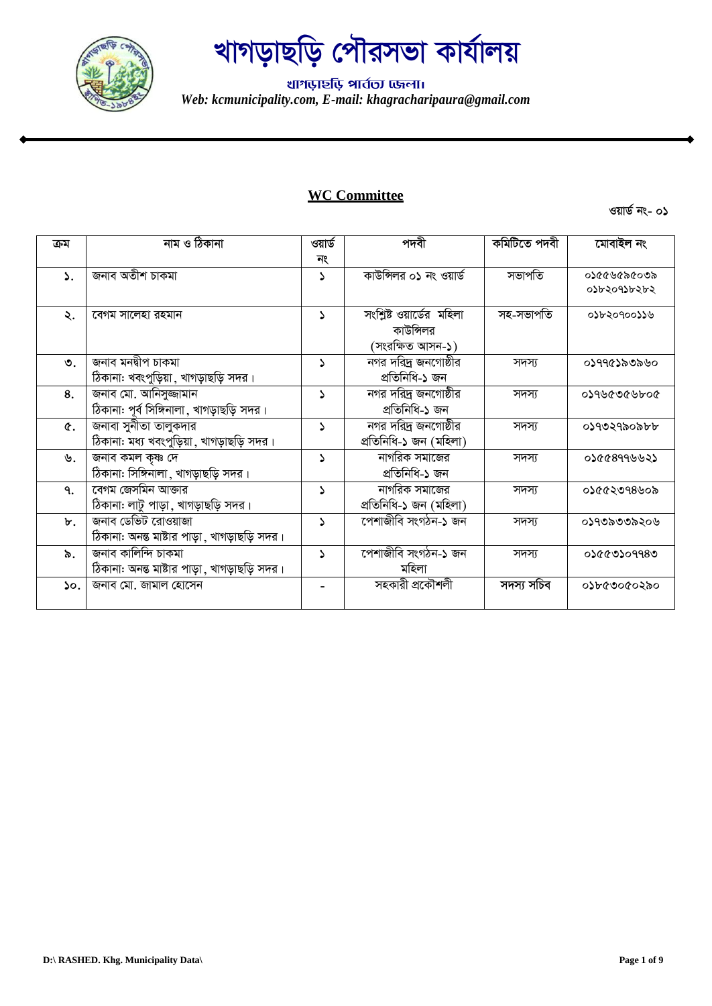

थागড़ार्<mark>श</mark> भार्तला एकला। *Web: kcmunicipality.com, E-mail: khagracharipaura@gmail.com*

#### **WC Committee**

| ক্ৰম           | নাম ও ঠিকানা                                  | ওয়ার্ড      | পদবী                      | কমিটিতে পদবী | মোবাইল নং   |
|----------------|-----------------------------------------------|--------------|---------------------------|--------------|-------------|
|                |                                               | নং           |                           |              |             |
| $\mathcal{L}$  | জনাব অতীশ চাকমা                               | S            | কাউন্সিলর ০১ নং ওয়ার্ড   | সভাপতি       | ০১৫৫৬৫৯৫০৩৯ |
|                |                                               |              |                           |              | ০১৮২০৭১৮২৮২ |
| ২.             | বেগম সালেহা রহমান                             | $\Delta$     | সংশ্লিষ্ট ওয়ার্ডের মহিলা | সহ-সভাপতি    | ০১৮২০৭০০১১৬ |
|                |                                               |              | কাউন্সিলর                 |              |             |
|                |                                               |              | (সংরক্ষিত আসন-১)          |              |             |
| ৩.             | জনাব মনদ্বীপ চাকমা                            | $\Delta$     | নগর দরিদ্র জনগোষ্ঠীর      | সদস্য        | ০১৭৭৫১৯৩৯৬০ |
|                | ঠিকানা: খবংপুড়িয়া, খাগড়াছড়ি সদর।          |              | প্ৰতিনিধি-১ জন            |              |             |
| 8.             | জনাব মো. আনিসুজ্জামান                         | 2            | নগর দরিদ্র জনগোষ্ঠীর      | সদস্য        | ১০৭৬৫৩৫৬৮০৫ |
|                | ঠিকানা: পূর্ব সিঙ্গিনালা, খাগড়াছড়ি সদর।     |              | প্ৰতিনিধি-১ জন            |              |             |
| $\alpha$ .     | জনাবা সুনীতা তালুকদার                         | 2            | নগর দরিদ্র জনগোষ্ঠীর      | সদস্য        | ০১৭৩২৭৯০৯৮৮ |
|                | ঠিকানা: মধ্য খবংপুড়িয়া, খাগড়াছড়ি সদর।     |              | প্ৰতিনিধি-১ জন (মহিলা)    |              |             |
| ৬.             | জনাব কমল কৃষ্ণ দে                             | 2            | নাগরিক সমাজের             | সদস্য        | ०১৫৫৪৭৭৬৬২১ |
|                | ঠিকানা: সিঙ্গিনালা, খাগড়াছড়ি সদর।           |              | প্ৰতিনিধি-১ জন            |              |             |
| $\mathsf{q}$ . | বেগম জেসমিন আক্তার                            | د            | নাগরিক সমাজের             | সদস্য        | ०১৫৫২৩৭৪৬০৯ |
|                | ঠিকানা: লাটু পাড়া , খাগড়াছড়ি সদর।          |              | প্ৰতিনিধি-১ জন (মহিলা)    |              |             |
| ৮.             | জনাব ডেভিট রোওয়াজা                           | 2            | পেশাজীবি সংগঠন-১ জন       | সদস্য        | ০১৭৩৯৩৩৯২০৬ |
|                | ঠিকানা: অনন্ত মাষ্টার পাড়া , খাগড়াছড়ি সদর। |              |                           |              |             |
| ৯.             | জনাব কালিন্দি চাকমা                           | <sup>2</sup> | পেশাজীবি সংগঠন-১ জন       | সদস্য        | ০১৫৫৩১০৭৭৪৩ |
|                | ঠিকানা: অনন্ত মাষ্টার পাড়া , খাগড়াছড়ি সদর। |              | মহিলা                     |              |             |
| $\mathsf{so}.$ | জনাব মো. জামাল হোসেন                          |              | সহকারী প্রকৌশলী           | সদস্য সচিব   | ০১৮৫৩০৫০২৯০ |
|                |                                               |              |                           |              |             |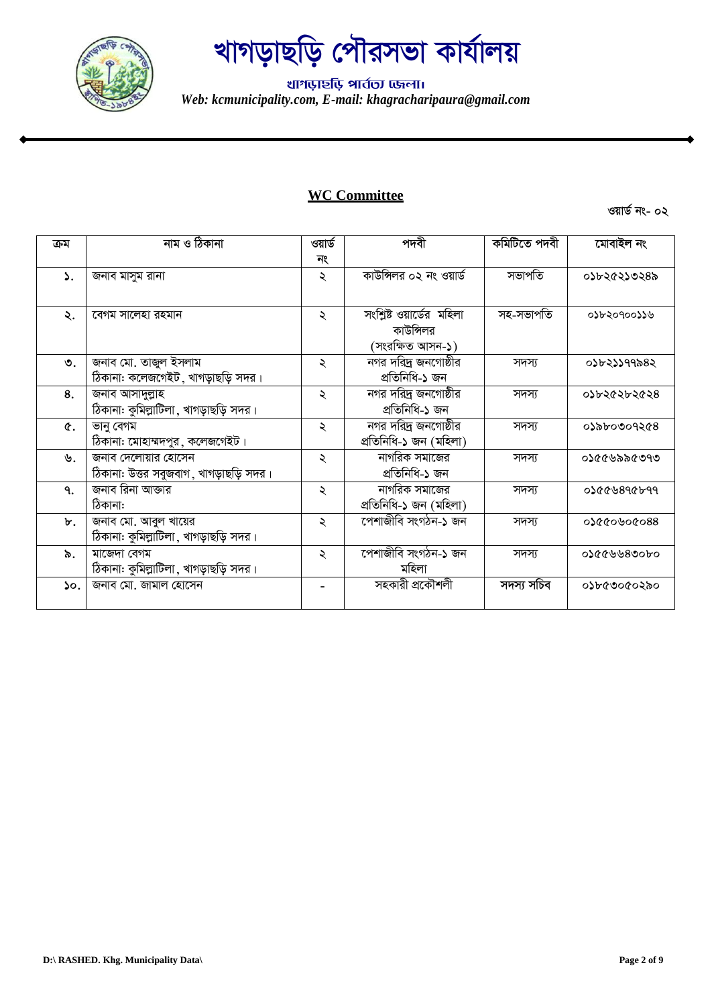

थागড़ार्<mark>श</mark> भार्तला एकला। *Web: kcmunicipality.com, E-mail: khagracharipaura@gmail.com*

#### **WC Committee**

| ক্ৰম            | নাম ও ঠিকানা                                                   | ওয়ার্ড             | পদবী                                           | কমিটিতে পদবী | মোবাইল নং          |
|-----------------|----------------------------------------------------------------|---------------------|------------------------------------------------|--------------|--------------------|
|                 |                                                                | নং                  |                                                |              |                    |
| ۵.              | জনাব মাসুম রানা                                                | ২                   | কাউন্সিলর ০২ নং ওয়ার্ড                        | সভাপতি       | ०১৮২৫২১৩২৪৯        |
| ২.              | বেগম সালেহা রহমান                                              | ২                   | সংশ্লিষ্ট ওয়ার্ডের মহিলা<br>কাউন্সিলর         | সহ-সভাপতি    | ০১৮২০৭০০১১৬        |
|                 |                                                                |                     | (সংরক্ষিত আসন-১)                               |              |                    |
| $\mathcal{O}$ . | জনাব মো. তাজুল ইসলাম<br>ঠিকানা: কলেজগেইট , খাগড়াছড়ি সদর।     | $\lambda$           | নগর দরিদ্র জনগোষ্ঠীর<br>প্ৰতিনিধি-১ জন         | সদস্য        | ০১৮২১১৭৭৯৪২        |
| 8.              | জনাব আসাদুল্লাহ<br>ঠিকানা: কুমিল্লাটিলা, খাগড়াছড়ি সদর।       | $\ddot{\sim}$       | নগর দরিদ্র জনগোষ্ঠীর<br>প্ৰতিনিধি-১ জন         | সদস্য        | ०১৮২৫২৮২৫২৪        |
| ¢.              | ভানু বেগম<br>ঠিকানা: মোহাম্মদপুর, কলেজগেইট।                    | ২                   | নগর দরিদ্র জনগোষ্ঠীর<br>প্ৰতিনিধি-১ জন (মহিলা) | সদস্য        | ০১৯৮০৩০৭২৫৪        |
| ৬.              | জনাব দেলোয়ার হোসেন<br>ঠিকানা: উত্তর সবুজবাগ , খাগড়াছড়ি সদর। | ২                   | নাগরিক সমাজের<br>প্ৰতিনিধি-১ জন                | সদস্য        | ০১৫৫৬৯৯৫৩৭৩        |
| ٩.              | জনাব রিনা আক্তার<br>ঠিকানা:                                    | ২                   | নাগরিক সমাজের<br>প্ৰতিনিধি-১ জন (মহিলা)        | সদস্য        | <b>02009890099</b> |
| ৮.              | জনাব মো. আবুল খায়ের<br>ঠিকানা: কুমিল্লাটিলা, খাগড়াছড়ি সদর।  | $\ddot{\mathbf{z}}$ | পেশাজীবি সংগঠন-১ জন                            | সদস্য        | 88090609960        |
| ৯.              | মাজেদা বেগম<br>ঠিকানা: কুমিল্লাটিলা, খাগড়াছড়ি সদর।           | ২                   | পেশাজীবি সংগঠন-১ জন<br>মহিলা                   | সদস্য        | ০১৫৫৬৬৬৪৩০৮০       |
| $\mathsf{so}.$  | জনাব মো. জামাল হোসেন                                           |                     | সহকারী প্রকৌশলী                                | সদস্য সচিব   | ০১৮৫৩০৫০২৯০        |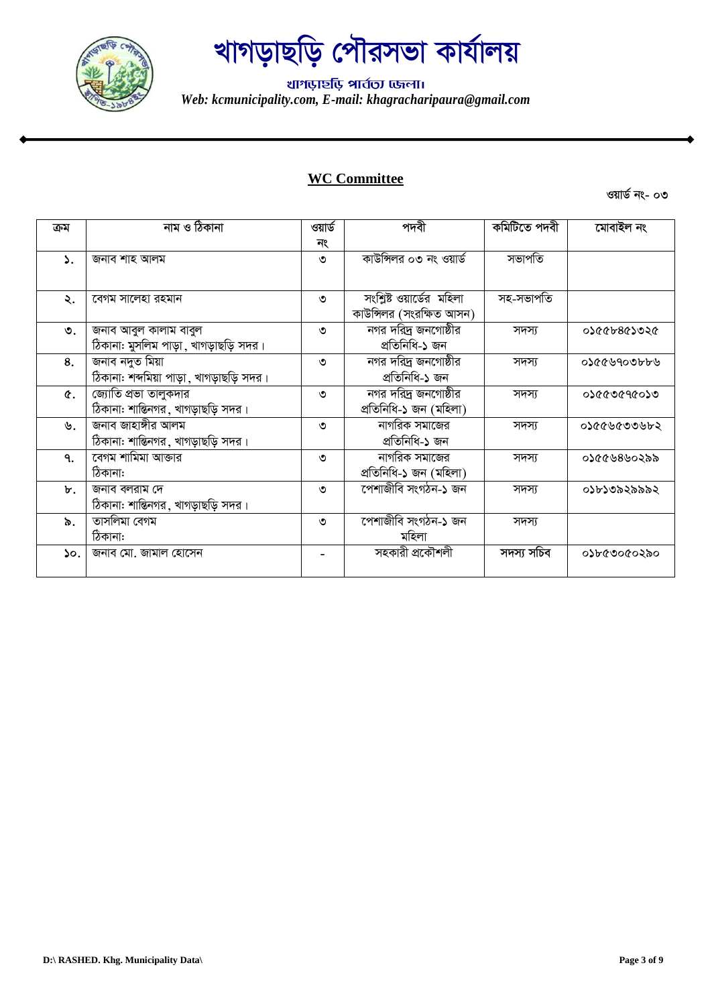

थागড़ार्<mark>श</mark> भार्तला एकला। *Web: kcmunicipality.com, E-mail: khagracharipaura@gmail.com*

### **WC Committee**

| ক্ৰম | নাম ও ঠিকানা                             | ওয়ার্ড | পদবী                      | কমিটিতে পদবী | মোবাইল নং   |
|------|------------------------------------------|---------|---------------------------|--------------|-------------|
|      |                                          | নং      |                           |              |             |
| ۵.   | জনাব শাহ আলম                             | ৩       | কাউন্সিলর ০৩ নং ওয়ার্ড   | সভাপতি       |             |
|      |                                          |         |                           |              |             |
| ২.   | বেগম সালেহা রহমান                        | ৩       | সংশ্লিষ্ট ওয়ার্ডের মহিলা | সহ-সভাপতি    |             |
|      |                                          |         | কাউন্সিলর (সংরক্ষিত আসন)  |              |             |
| ৩.   | জনাব আবুল কালাম বাবুল                    | ৩       | নগর দরিদ্র জনগোষ্ঠীর      | সদস্য        | ১১৫৫৮৪৫১৩২৫ |
|      | ঠিকানা: মুসলিম পাড়া, খাগড়াছড়ি সদর।    |         | প্ৰতিনিধি-১ জন            |              |             |
| 8.   | জনাব নদুত মিয়া                          | ৩       | নগর দরিদ্র জনগোষ্ঠীর      | সদস্য        | ০১৫৫৬৭০৩৮৮৬ |
|      | ঠিকানা: শব্দমিয়া পাড়া, খাগড়াছড়ি সদর। |         | প্ৰতিনিধি-১ জন            |              |             |
| ¢.   | জ্যোতি প্রভা তালুকদার                    | ৩       | নগর দরিদ্র জনগোষ্ঠীর      | সদস্য        | ৩১৫৫৩৫৭৫০১৩ |
|      | ঠিকানা: শান্তিনগর, খাগড়াছড়ি সদর।       |         | প্ৰতিনিধি-১ জন (মহিলা)    |              |             |
| ৬.   | জনাব জাহাঙ্গীর আলম                       | ৩       | নাগরিক সমাজের             | সদস্য        | ০১৫৫৬৫৩৩৬৮২ |
|      | ঠিকানা: শান্তিনগর, খাগড়াছড়ি সদর।       |         | প্ৰতিনিধি-১ জন            |              |             |
| ٩.   | কেগম শামিমা আক্তার                       | ৩       | নাগরিক সমাজের             | সদস্য        | ০১৫৫৬৪৬০২৯৯ |
|      | ঠিকানা:                                  |         | প্ৰতিনিধি-১ জন (মহিলা)    |              |             |
| ৮.   | জনাব বলরাম দে                            | ৩       | পেশাজীবি সংগঠন-১ জন       | সদস্য        | ০১৮১৩৯২৯৯৯২ |
|      | ঠিকানা: শান্তিনগর, খাগড়াছড়ি সদর।       |         |                           |              |             |
| ৯.   | তাসলিমা বেগম                             | ৩       | পেশাজীবি সংগঠন-১ জন       | সদস্য        |             |
|      | ঠিকানা:                                  |         | মহিলা                     |              |             |
| ۵o.  | জনাব মো. জামাল হোসেন                     |         | সহকারী প্রকৌশলী           | সদস্য সচিব   | ০১৮৫৩০৫০২৯০ |
|      |                                          |         |                           |              |             |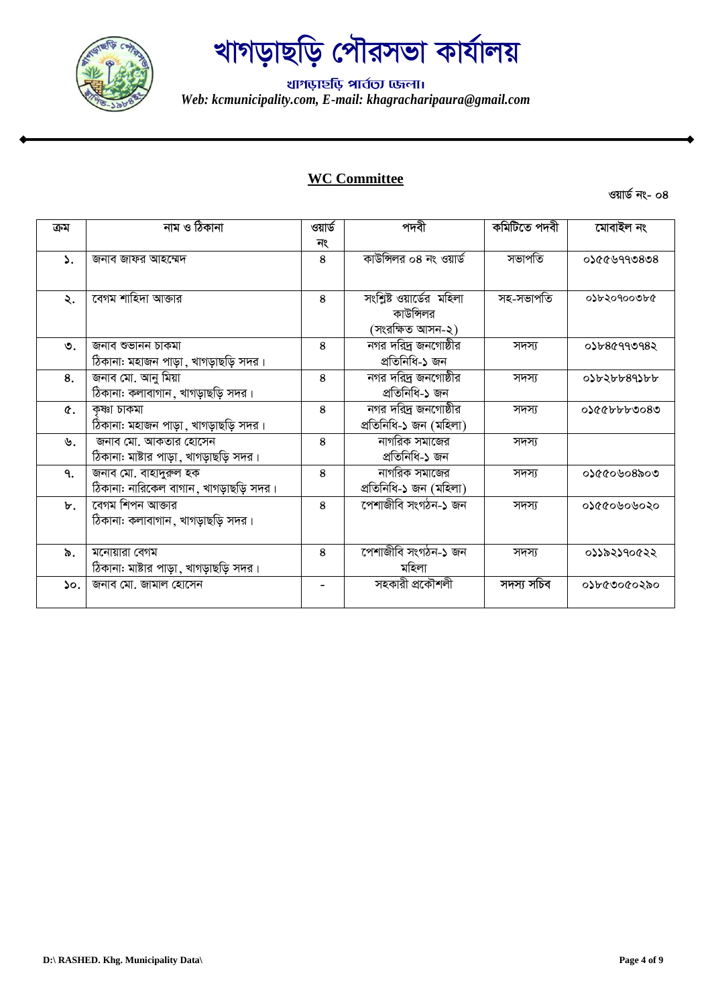

थागড़ार्<mark>श</mark> भार्तला एकला। *Web: kcmunicipality.com, E-mail: khagracharipaura@gmail.com*

### **WC Committee**

| ক্ৰম | নাম ও ঠিকানা                           | ওয়ার্ড      | পদবী                      | কমিটিতে পদবী | মোবাইল নং    |
|------|----------------------------------------|--------------|---------------------------|--------------|--------------|
|      |                                        | নং           |                           |              |              |
| ۵.   | জনাব জাফর আহম্মেদ                      | 8            | কাউন্সিলর ০৪ নং ওয়ার্ড   | সভাপতি       | 8080999920   |
|      |                                        |              |                           |              |              |
| ২.   | বেগম শাহিদা আক্তার                     | 8            | সংশ্লিষ্ট ওয়ার্ডের মহিলা | সহ-সভাপতি    | ০১৮২০৭০০৩৮৫  |
|      |                                        |              | কাউন্সিলর                 |              |              |
|      |                                        |              | (সংরক্ষিত আসন-২)          |              |              |
| ৩.   | জনাব শুভানন চাকমা                      | $\mathbf{8}$ | নগর দরিদ্র জনগোষ্ঠীর      | সদস্য        | 0১৮৪৫৭৭৩৭৪২  |
|      | ঠিকানা: মহাজন পাড়া, খাগড়াছড়ি সদর।   |              | প্ৰতিনিধি-১ জন            |              |              |
| 8.   | জনাব মো. আনু মিয়া                     | 8            | নগর দরিদ্র জনগোষ্ঠীর      | সদস্য        | 0) 636568996 |
|      | ঠিকানা: কলাবাগান, খাগড়াছড়ি সদর।      |              | প্ৰতিনিধি-১ জন            |              |              |
| ¢.   | ক্ষ্ণা চাকমা                           | 8            | নগর দরিদ্র জনগোষ্ঠীর      | সদস্য        | ০১৫৫৮৮৮৩০৪৩  |
|      | ঠিকানা: মহাজন পাড়া , খাগড়াছড়ি সদর।  |              | প্ৰতিনিধি-১ জন (মহিলা)    |              |              |
| ৬.   | জনাব মো. আকতার হোসেন                   | 8            | নাগরিক সমাজের             | সদস্য        |              |
|      | ঠিকানা: মাষ্টার পাড়া, খাগড়াছড়ি সদর। |              | প্ৰতিনিধি-১ জন            |              |              |
| ٩.   | জনাব মো. বাহাদুরুল হক                  | 8            | নাগরিক সমাজের             | সদস্য        | ০১৫৫০৬০৪৯০৩  |
|      | ঠিকানা: নারিকেল বাগান, খাগড়াছড়ি সদর। |              | প্ৰতিনিধি-১ জন (মহিলা)    |              |              |
| ৮.   | বেগম শিপন আক্তার                       | 8            | পেশাজীবি সংগঠন-১ জন       | সদস্য        | ০১৫৫০৬০৬০২০  |
|      | ঠিকানা: কলাবাগান ,খাগড়াছড়ি সদর।      |              |                           |              |              |
|      |                                        |              |                           |              |              |
| ৯.   | মনোয়ারা বেগম                          | 8            | পেশাজীবি সংগঠন-১ জন       | সদস্য        | ০১১৯২১৭০৫২২  |
|      | ঠিকানা: মাষ্টার পাড়া, খাগড়াছড়ি সদর। |              | মহিলা                     |              |              |
| ১০.  | জনাব মো. জামাল হোসেন                   |              | সহকারী প্রকৌশলী           | সদস্য সচিব   | ০১৮৫৩০৫০২৯০  |
|      |                                        |              |                           |              |              |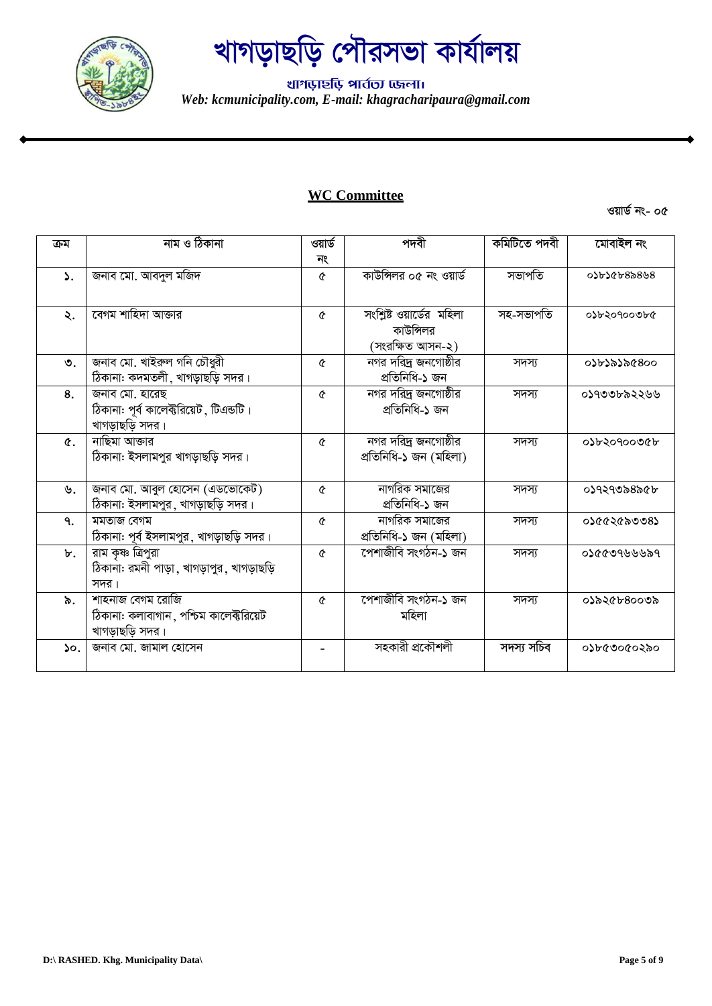

थागড़ार्<mark>श</mark> भार्तला एकला। *Web: kcmunicipality.com, E-mail: khagracharipaura@gmail.com*

#### **WC Committee**

**ওয়ার্ড নং- ০৫** 

| ক্ৰম            | নাম ও ঠিকানা                              | ওয়ার্ড  | পদবী                      | কমিটিতে পদবী | মোবাইল নং   |
|-----------------|-------------------------------------------|----------|---------------------------|--------------|-------------|
|                 |                                           | নং       |                           |              |             |
| $\mathcal{L}$ . | জনাব মো. আবদুল মজিদ                       | ৫        | কাউন্সিলর ০৫ নং ওয়ার্ড   | সভাপতি       | 0)998497608 |
|                 |                                           |          |                           |              |             |
| ২.              | বেগম শাহিদা আক্তার                        | ৫        | সংশ্লিষ্ট ওয়ার্ডের মহিলা | সহ-সভাপতি    | ০১৮২০৭০০৩৮৫ |
|                 |                                           |          | কাউন্সিলর                 |              |             |
|                 |                                           |          | (সংরক্ষিত আসন-২)          |              |             |
| $\mathcal{O}$ . | জনাব মো. খাইরুল গনি চৌধুরী                | ৫        | নগর দরিদ্র জনগোষ্ঠীর      | সদস্য        | ০১৮১৯১৯৫৪০০ |
|                 | ঠিকানা: কদমতলী, খাগড়াছড়ি সদর।           |          | প্ৰতিনিধি-১ জন            |              |             |
| 8.              | জনাব মো. হারেছ                            | ৫        | নগর দরিদ্র জনগোষ্ঠীর      | সদস্য        | ০১৭৩৩৮৯২২৬৬ |
|                 | ঠিকানা: পূর্ব কালেক্টরিয়েট, টিএন্ডটি।    |          | প্ৰতিনিধি-১ জন            |              |             |
|                 | খাগড়াছড়ি সদর।                           |          |                           |              |             |
| ¢.              | নাছিমা আক্তার                             | ৫        | নগর দরিদ্র জনগোষ্ঠীর      | সদস্য        | ০১৮২০৭০০৩৫৮ |
|                 | ঠিকানা: ইসলামপুর খাগড়াছড়ি সদর।          |          | প্ৰতিনিধি-১ জন (মহিলা)    |              |             |
|                 |                                           |          |                           |              |             |
| ৬.              | জনাব মো. আবুল হোসেন (এডভোকেট)             | ৫        | নাগরিক সমাজের             | সদস্য        | ০১৭২৭৩৯৪৯৫৮ |
|                 | ঠিকানা: ইসলামপুর, খাগড়াছড়ি সদর।         |          | প্ৰতিনিধি-১ জন            |              |             |
| ٩.              | মমতাজ বেগম                                | ৫        | নাগরিক সমাজের             | সদস্য        | ०১৫৫২৫৯৩৩৪১ |
|                 | ঠিকানা: পূর্ব ইসলামপুর, খাগড়াছড়ি সদর।   |          | প্ৰতিনিধি-১ জন (মহিলা)    |              |             |
| ৮.              | রাম কৃষ্ণ ত্রিপুরা                        | ৫        | পেশাজীবি সংগঠন-১ জন       | সদস্য        | ০১৫৫৩৭৬৬৬৯৭ |
|                 | ঠিকানা: রমনী পাড়া, খাগড়াপুর, খাগড়াছড়ি |          |                           |              |             |
|                 | সদর।                                      |          |                           |              |             |
| ৯.              | শাহনাজ বেগম রোজি                          | $\sigma$ | পেশাজীবি সংগঠন-১ জন       | সদস্য        | ০১৯২৫৮৪০০৩৯ |
|                 | ঠিকানা: কলাবাগান, পশ্চিম কালেক্টরিয়েট    |          | মহিলা                     |              |             |
|                 | খাগড়াছড়ি সদর।                           |          |                           |              |             |
| $\mathcal{L}$ . | জনাব মো. জামাল হোসেন                      |          | সহকারী প্রকৌশলী           | সদস্য সচিব   | ০১৮৫৩০৫০২৯০ |
|                 |                                           |          |                           |              |             |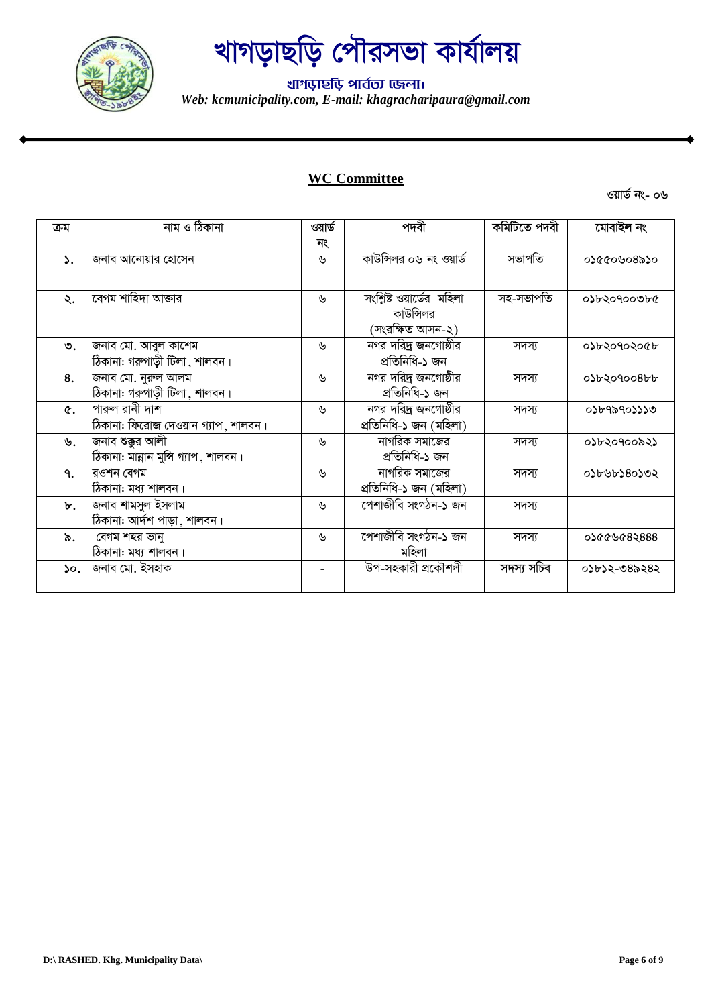

थागড़ार्<mark>श</mark> भार्तला एकला। *Web: kcmunicipality.com, E-mail: khagracharipaura@gmail.com*

### **WC Committee**

| ক্ৰম                      | নাম ও ঠিকানা                         | ওয়ার্ড | পদবী                              | কমিটিতে পদবী | মোবাইল নং    |
|---------------------------|--------------------------------------|---------|-----------------------------------|--------------|--------------|
|                           |                                      | নং      |                                   |              |              |
| ۵.                        | জনাব আনোয়ার হোসেন                   | ৬       | কাউন্সিলর ০৬ নং ওয়ার্ড           | সভাপতি       | ০১৫৫০৬০৪৯১০  |
|                           |                                      |         |                                   |              |              |
| ২.                        | বেগম শাহিদা আক্তার                   | ৬       | সংশ্লিষ্ট ওয়ার্ডের মহিলা         | সহ-সভাপতি    | ০১৮২০৭০০৩৮৫  |
|                           |                                      |         | কাউন্সিলর                         |              |              |
|                           |                                      |         | (সংরক্ষিত আসন-২)                  |              |              |
| ৩.                        | জনাব মো. আবুল কাশেম                  | ৬       | নগর দরিদ্র জনগোষ্ঠীর              | সদস্য        | ০১৮২০৭০২০৫৮  |
|                           | ঠিকানা: গরুগাড়ী টিলা, শালবন।        |         | প্ৰতিনিধি-১ জন                    |              |              |
| 8.                        | জনাব মো. নুরুল আলম                   | ৬       | <mark>নগর দরিদ্র</mark> জনগোষ্ঠীর | সদস্য        | 0) 630900866 |
|                           | ঠিকানা: গরুগাড়ী টিলা, শালবন।        |         | প্ৰতিনিধি-১ জন                    |              |              |
| ¢.                        | পারুল রানী দাশ                       | ৬       | ন্দার দরি <u>দ</u> জনগোষ্ঠীর      | সদস্য        | ০১৮৭৯৭০১১১৩  |
|                           | ঠিকানা: ফিরোজ দেওয়ান গ্যাপ, শালবন।  |         | প্ৰতিনিধি-১ জন (মহিলা)            |              |              |
| ৬.                        | জনাব শুক্কুর আলী                     | ৬       | নাগরিক সমাজের                     | সদস্য        | ০১৮২০৭০০৯২১  |
|                           | ঠিকানা: মান্নান মুন্সি গ্যাপ, শালবন। |         | প্ৰতিনিধি-১ জন                    |              |              |
| ٩.                        | রওশন বেগম                            | ৬       | নাগরিক সমাজের                     | সদস্য        | ০১৮৬৮১৪০১৩২  |
|                           | ঠিকানা: মধ্য শালবন।                  |         | প্ৰতিনিধি-১ জন (মহিলা)            |              |              |
| ৮.                        | জনাব শামসুল ইসলাম                    | ৬       | পেশাজীবি সংগঠন-১ জন               | সদস্য        |              |
|                           | ঠিকানা: আৰ্দশ পাড়া, শালবন।          |         |                                   |              |              |
| ৯.                        | বেগম শহর ভানু                        | ৬       | সেশাজীবি সংগঠন-১ জন               | সদস্য        | 0১৫৫৬৫৪২৪৪৪  |
|                           | ঠিকানা: মধ্য শালবন।                  |         | মহিলা                             |              |              |
| $\mathsf{S} \mathsf{o}$ . | জনাব মো. ইসহাক                       |         | উপ-সহকারী প্রকৌশলী                | সদস্য সচিব   | ০১৮১২-৩৪৯২৪২ |
|                           |                                      |         |                                   |              |              |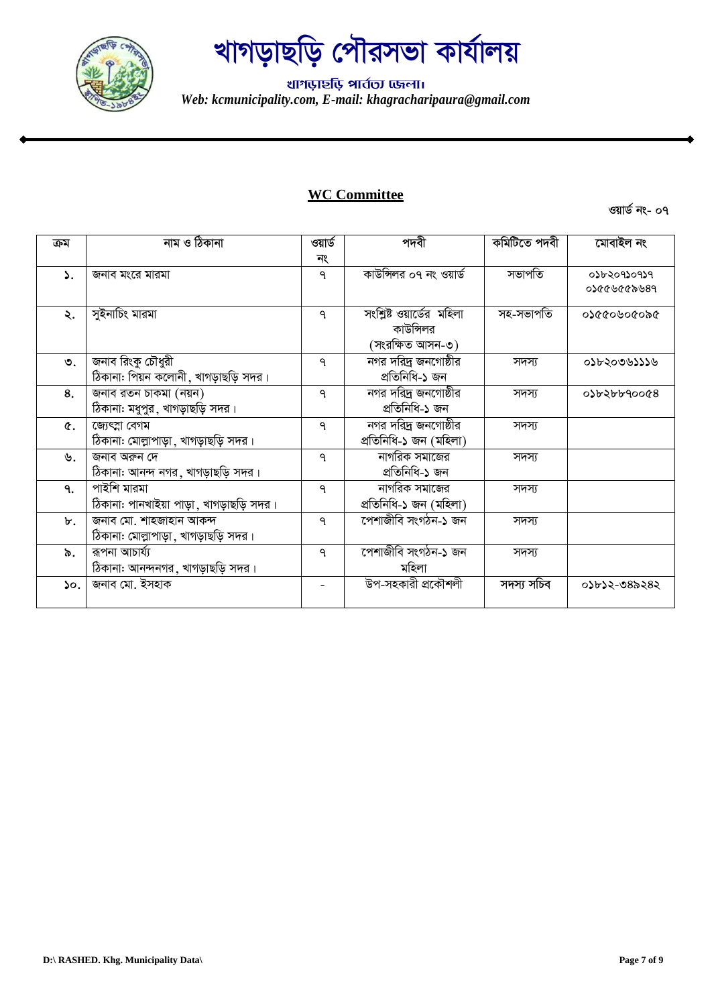

थागড़ार्<mark>श</mark> भार्तला एकला। *Web: kcmunicipality.com, E-mail: khagracharipaura@gmail.com*

#### **WC Committee**

| ক্ৰম            | নাম ও ঠিকানা                              | ওয়ার্ড      | পদবী                      | কমিটিতে পদবী | মোবাইল নং    |
|-----------------|-------------------------------------------|--------------|---------------------------|--------------|--------------|
|                 |                                           | নং           |                           |              |              |
|                 |                                           |              | কাউন্সিলর ০৭ নং ওয়ার্ড   | সভাপতি       | ०১৮২০৭১০৭১৭  |
| ۵.              | জনাব মংরে মারমা                           | ٩            |                           |              | 98569999990  |
|                 |                                           |              |                           |              |              |
| ২.              | সুইনাচিং মারমা                            | ٩            | সংশ্লিষ্ট ওয়ার্ডের মহিলা | সহ-সভাপতি    | ১৯০১০৬০১১১০  |
|                 |                                           |              | কাউন্সিলর                 |              |              |
|                 |                                           |              | (সংরক্ষিত আসন-৩)          |              |              |
| ৩.              | জনাব রিংকু চৌধুরী                         | $\mathsf{P}$ | নগর দরিদ্র জনগোষ্ঠীর      | সদস্য        | ০১৮২০৩৬১১১৬  |
|                 | ঠিকানা: পিয়ন কলোনী, খাগড়াছড়ি সদর।      |              | প্ৰতিনিধি-১ জন            |              |              |
| 8.              | জনাব রতন চাকমা (নয়ন)                     | $\mathsf{P}$ | নগর দরিদ্র জনগোষ্ঠীর      | সদস্য        | 0) 054460008 |
|                 | ঠিকানা: মধুপুর, খাগড়াছড়ি সদর।           |              | প্ৰতিনিধি-১ জন            |              |              |
| $\hat{r}$ .     | জ্যেৎস্না বেগম                            | ٩            | নগর দরিদ্র জনগোষ্ঠীর      | সদস্য        |              |
|                 | ঠিকানা: মোল্লাপাড়া, খাগড়াছড়ি সদর।      |              | প্ৰতিনিধি-১ জন (মহিলা)    |              |              |
| ৬.              | জনাব অরুন দে                              | $\mathsf{P}$ | নাগরিক সমাজের             | সদস্য        |              |
|                 | ঠিকানা: আনন্দ নগর, খাগড়াছড়ি সদর।        |              | প্ৰতিনিধি-১ জন            |              |              |
| ٩.              | পাইশি মারমা                               | ٩            | নাগরিক সমাজের             | সদস্য        |              |
|                 | ঠিকানা: পানখাইয়া পাড়া , খাগড়াছড়ি সদর। |              | প্ৰতিনিধি-১ জন (মহিলা)    |              |              |
| ৮.              | জনাব মো. শাহজাহান আকন্দ                   | $\mathsf{P}$ | পেশাজীবি সংগঠন-১ জন       | সদস্য        |              |
|                 | ঠিকানা: মোল্লাপাড়া , খাগড়াছড়ি সদর।     |              |                           |              |              |
| ৯.              | রূপনা আচার্য্য                            | $\mathsf{P}$ | পেশাজীবি সংগঠন-১ জন       | সদস্য        |              |
|                 | ঠিকানা: আনন্দনগর, খাগড়াছড়ি সদর।         |              | মহিলা                     |              |              |
| $\mathcal{S}$ . | জনাব মো. ইসহাক                            |              | উপ-সহকারী প্রকৌশলী        | সদস্য সচিব   | 0১৮১২-৩৪৯২৪২ |
|                 |                                           |              |                           |              |              |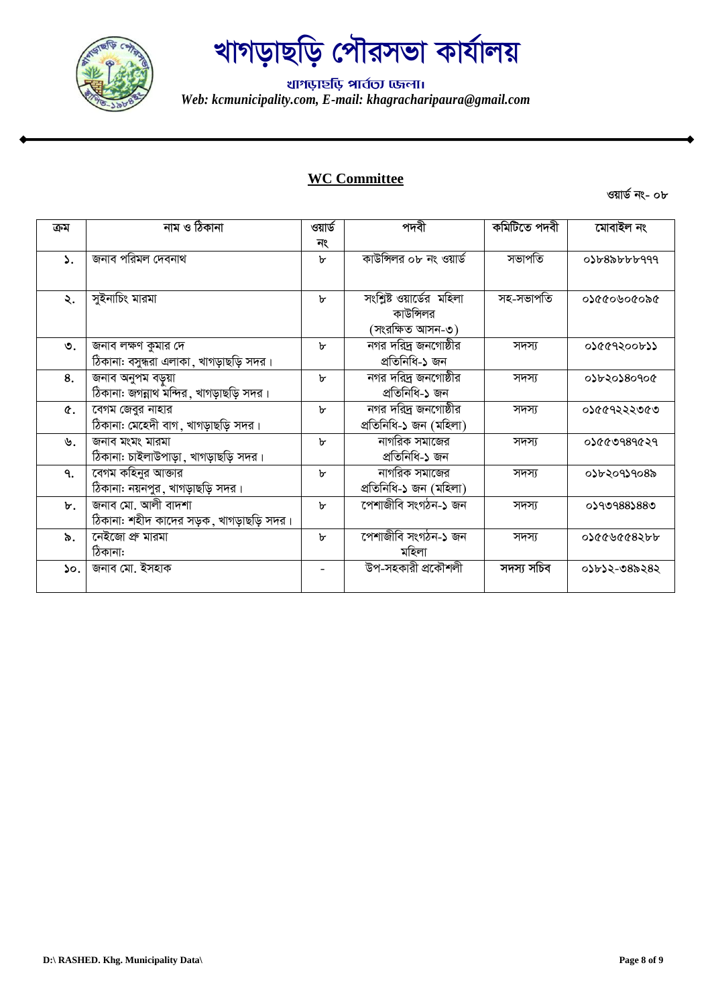

थागড़ार्<mark>श</mark> भार्तला एकला। *Web: kcmunicipality.com, E-mail: khagracharipaura@gmail.com*

### **WC Committee**

| ক্ৰম | নাম ও ঠিকানা                             | ওয়ার্ড      | পদবী                      | কমিটিতে পদবী | মোবাইল নং          |
|------|------------------------------------------|--------------|---------------------------|--------------|--------------------|
|      |                                          | নং           |                           |              |                    |
| ۵.   | জনাব পরিমল দেবনাথ                        | $\mathbf{b}$ | কাউন্সিলর ০৮ নং ওয়ার্ড   | সভাপতি       | $0$ ১৮ $8$ ৯৮৮৮৭৭৭ |
|      |                                          |              |                           |              |                    |
| ২.   | সুইনাচিং মারমা                           | b.           | সংশ্লিষ্ট ওয়ার্ডের মহিলা | সহ-সভাপতি    | ৩১৫৫০৬০৫০৯৫        |
|      |                                          |              | কাউন্সিলর                 |              |                    |
|      |                                          |              | (সংরক্ষিত আসন-৩)          |              |                    |
| ৩.   | জনাব লক্ষণ কুমার দে                      | b.           | নগর দরিদ্র জনগোষ্ঠীর      | সদস্য        | ०১৫৫৭২০০৮১১        |
|      | ঠিকানা: বসুন্ধরা এলাকা ,খাগড়াছড়ি সদর।  |              | প্ৰতিনিধি-১ জন            |              |                    |
| 8.   | জনাব অনুপম বড়ুয়া                       | b.           | নগর দরিদ্র জনগোষ্ঠীর      | সদস্য        | ०১৮২০১৪০৭০৫        |
|      | ঠিকানা: জগন্নাথ মন্দির, খাগড়াছড়ি সদর।  |              | প্ৰতিনিধি-১ জন            |              |                    |
| Q.   | বেগম জেবুর নাহার                         | b.           | নগর দরিদ্র জনগোষ্ঠীর      | সদস্য        | ०১৫৫৭২২২৩৫৩        |
|      | ঠিকানা: মেহেদী বাগ, খাগড়াছড়ি সদর।      |              | প্ৰতিনিধি-১ জন (মহিলা)    |              |                    |
| ৬.   | জনাব মংমং মারমা                          | b.           | নাগরিক সমাজের             | সদস্য        | ০১৫৫৩৭৪৭৫২৭        |
|      | ঠিকানা: চাইলাউপাড়া, খাগড়াছড়ি সদর।     |              | প্ৰতিনিধি-১ জন            |              |                    |
| ٩.   | বেগম কহিনুর আক্তার                       | $\mathbf{b}$ | নাগরিক সমাজের             | সদস্য        | ০১৮২০৭১৭০৪৯        |
|      | ঠিকানা: নয়নপুর, খাগড়াছড়ি সদর।         |              | প্ৰতিনিধি-১ জন (মহিলা)    |              |                    |
| ৮.   | জনাব মো. আলী বাদশা                       | b.           | পেশাজীবি সংগঠন-১ জন       | সদস্য        | 0১৭৩৭৪৪১৪৪৩        |
|      | ঠিকানা: শহীদ কাদের সড়ক, খাগড়াছড়ি সদর। |              |                           |              |                    |
| ৯.   | নেইজো প্ৰু মারমা                         | $\mathbf{b}$ | পেশাজীবি সংগঠন-১ জন       | সদস্য        | ०১৫৫৬৫৫৪২৮৮        |
|      | ঠিকানা:                                  |              | মহিলা                     |              |                    |
| ১০.  | জনাব মো. ইসহাক                           |              | উপ-সহকারী প্রকৌশলী        | সদস্য সচিব   | ০১৮১২-৩৪৯২৪২       |
|      |                                          |              |                           |              |                    |